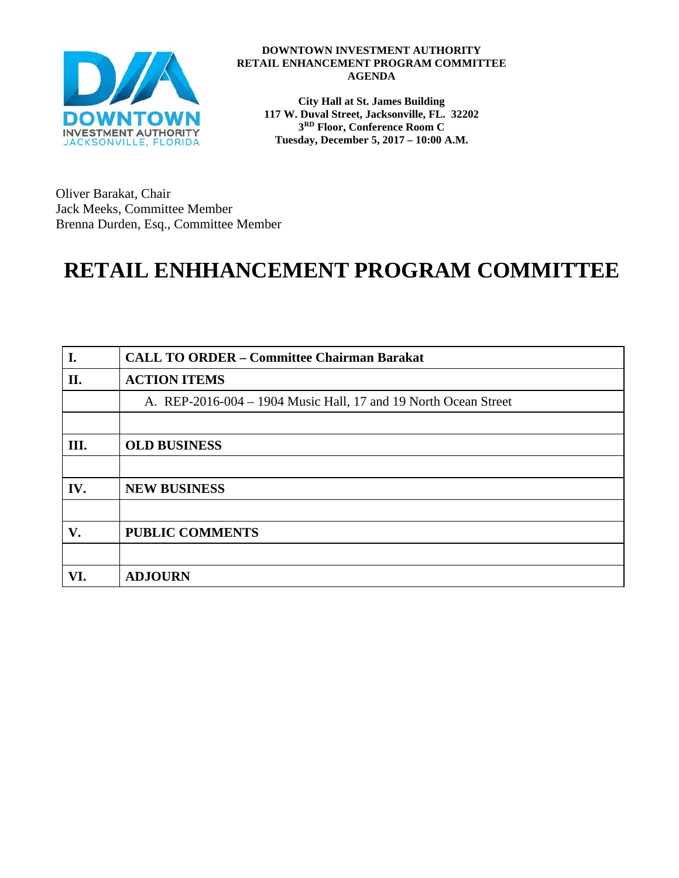

#### **DOWNTOWN INVESTMENT AUTHORITY RETAIL ENHANCEMENT PROGRAM COMMITTEE AGENDA**

**City Hall at St. James Building 117 W. Duval Street, Jacksonville, FL. 32202 3RD Floor, Conference Room C Tuesday, December 5, 2017 – 10:00 A.M.**

Oliver Barakat, Chair Jack Meeks, Committee Member Brenna Durden, Esq., Committee Member

# **RETAIL ENHHANCEMENT PROGRAM COMMITTEE**

| I.   | <b>CALL TO ORDER - Committee Chairman Barakat</b>               |  |
|------|-----------------------------------------------------------------|--|
| II.  | <b>ACTION ITEMS</b>                                             |  |
|      | A. REP-2016-004 – 1904 Music Hall, 17 and 19 North Ocean Street |  |
|      |                                                                 |  |
| III. | <b>OLD BUSINESS</b>                                             |  |
|      |                                                                 |  |
| IV.  | <b>NEW BUSINESS</b>                                             |  |
|      |                                                                 |  |
| V.   | <b>PUBLIC COMMENTS</b>                                          |  |
|      |                                                                 |  |
| VI.  | <b>ADJOURN</b>                                                  |  |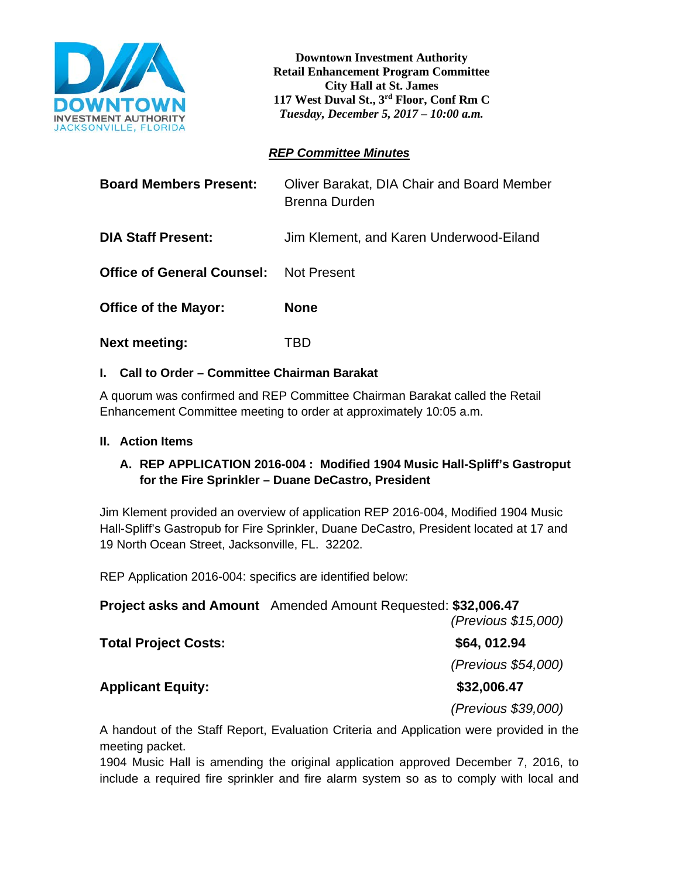

**Downtown Investment Authority Retail Enhancement Program Committee City Hall at St. James 117 West Duval St., 3rd Floor, Conf Rm C**  *Tuesday, December 5, 2017 – 10:00 a.m.*

## *REP Committee Minutes*

| <b>Board Members Present:</b>                 | Oliver Barakat, DIA Chair and Board Member<br>Brenna Durden |
|-----------------------------------------------|-------------------------------------------------------------|
| <b>DIA Staff Present:</b>                     | Jim Klement, and Karen Underwood-Eiland                     |
| <b>Office of General Counsel:</b> Not Present |                                                             |
| <b>Office of the Mayor:</b>                   | <b>None</b>                                                 |
| <b>Next meeting:</b>                          | I BD                                                        |

## **I. Call to Order – Committee Chairman Barakat**

A quorum was confirmed and REP Committee Chairman Barakat called the Retail Enhancement Committee meeting to order at approximately 10:05 a.m.

### **II. Action Items**

## **A. REP APPLICATION 2016-004 : Modified 1904 Music Hall-Spliff's Gastroput for the Fire Sprinkler – Duane DeCastro, President**

Jim Klement provided an overview of application REP 2016-004, Modified 1904 Music Hall-Spliff's Gastropub for Fire Sprinkler, Duane DeCastro, President located at 17 and 19 North Ocean Street, Jacksonville, FL. 32202.

REP Application 2016-004: specifics are identified below:

**Project asks and Amount** Amended Amount Requested: **\$32,006.47**  *(Previous \$15,000)* 

**Total Project Costs: \$64, 012.94**

**Applicant Equity: \$32,006.47**

*(Previous \$54,000)* 

*(Previous \$39,000)*

A handout of the Staff Report, Evaluation Criteria and Application were provided in the meeting packet.

1904 Music Hall is amending the original application approved December 7, 2016, to include a required fire sprinkler and fire alarm system so as to comply with local and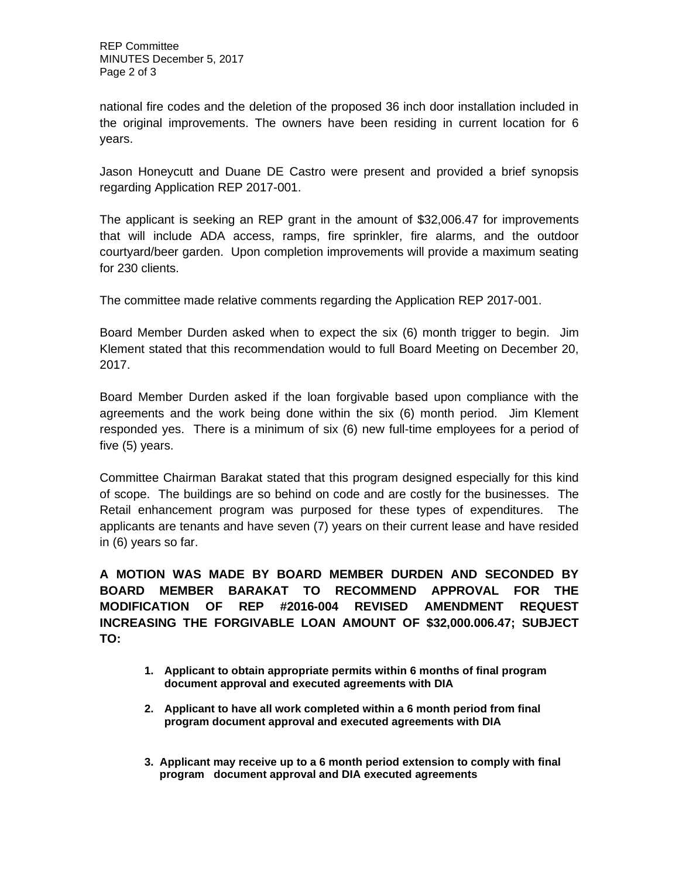national fire codes and the deletion of the proposed 36 inch door installation included in the original improvements. The owners have been residing in current location for 6 years.

Jason Honeycutt and Duane DE Castro were present and provided a brief synopsis regarding Application REP 2017-001.

The applicant is seeking an REP grant in the amount of \$32,006.47 for improvements that will include ADA access, ramps, fire sprinkler, fire alarms, and the outdoor courtyard/beer garden. Upon completion improvements will provide a maximum seating for 230 clients.

The committee made relative comments regarding the Application REP 2017-001.

Board Member Durden asked when to expect the six (6) month trigger to begin. Jim Klement stated that this recommendation would to full Board Meeting on December 20, 2017.

Board Member Durden asked if the loan forgivable based upon compliance with the agreements and the work being done within the six (6) month period. Jim Klement responded yes. There is a minimum of six (6) new full-time employees for a period of five (5) years.

Committee Chairman Barakat stated that this program designed especially for this kind of scope. The buildings are so behind on code and are costly for the businesses. The Retail enhancement program was purposed for these types of expenditures. The applicants are tenants and have seven (7) years on their current lease and have resided in (6) years so far.

**A MOTION WAS MADE BY BOARD MEMBER DURDEN AND SECONDED BY BOARD MEMBER BARAKAT TO RECOMMEND APPROVAL FOR THE MODIFICATION OF REP #2016-004 REVISED AMENDMENT REQUEST INCREASING THE FORGIVABLE LOAN AMOUNT OF \$32,000.006.47; SUBJECT TO:** 

- **1. Applicant to obtain appropriate permits within 6 months of final program document approval and executed agreements with DIA**
- **2. Applicant to have all work completed within a 6 month period from final program document approval and executed agreements with DIA**
- **3. Applicant may receive up to a 6 month period extension to comply with final program document approval and DIA executed agreements**